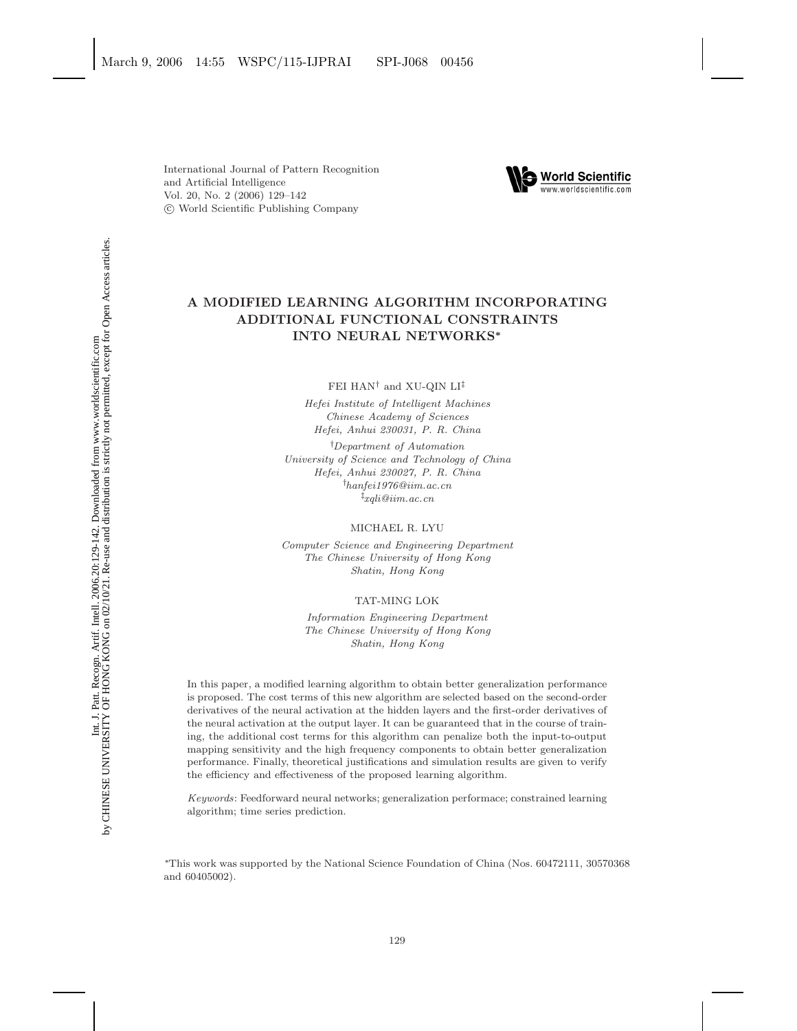

# **A MODIFIED LEARNING ALGORITHM INCORPORATING ADDITIONAL FUNCTIONAL CONSTRAINTS INTO NEURAL NETWORKS***∗*

FEI HAN† and XU-QIN LI‡

*Hefei Institute of Intelligent Machines Chinese Academy of Sciences Hefei, Anhui 230031, P. R. China*

† *Department of Automation University of Science and Technology of China Hefei, Anhui 230027, P. R. China* † *hanfei1976@iim.ac.cn* ‡ *xqli@iim.ac.cn*

#### MICHAEL R. LYU

*Computer Science and Engineering Department The Chinese University of Hong Kong Shatin, Hong Kong*

## TAT-MING LOK

*Information Engineering Department The Chinese University of Hong Kong Shatin, Hong Kong*

In this paper, a modified learning algorithm to obtain better generalization performance is proposed. The cost terms of this new algorithm are selected based on the second-order derivatives of the neural activation at the hidden layers and the first-order derivatives of the neural activation at the output layer. It can be guaranteed that in the course of training, the additional cost terms for this algorithm can penalize both the input-to-output mapping sensitivity and the high frequency components to obtain better generalization performance. Finally, theoretical justifications and simulation results are given to verify the efficiency and effectiveness of the proposed learning algorithm.

*Keywords*: Feedforward neural networks; generalization performace; constrained learning algorithm; time series prediction.

∗This work was supported by the National Science Foundation of China (Nos. 60472111, 30570368 and 60405002).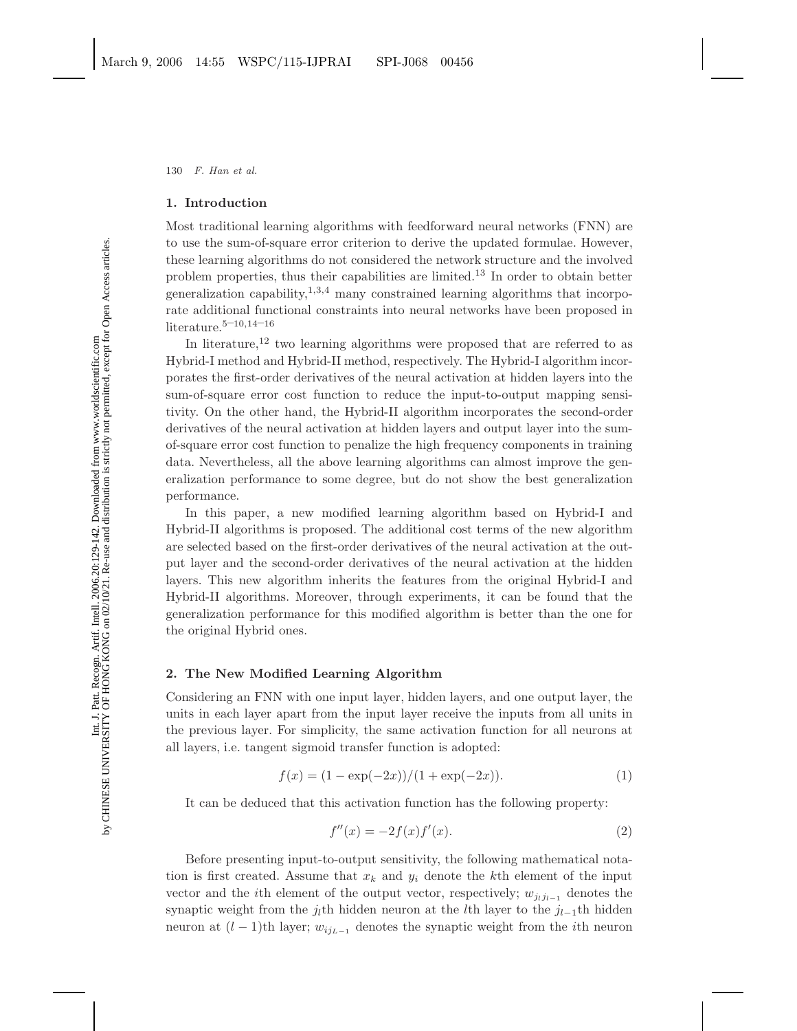### **1. Introduction**

Most traditional learning algorithms with feedforward neural networks (FNN) are to use the sum-of-square error criterion to derive the updated formulae. However, these learning algorithms do not considered the network structure and the involved problem properties, thus their capabilities are limited.<sup>13</sup> In order to obtain better generalization capability, $1,3,4$  many constrained learning algorithms that incorporate additional functional constraints into neural networks have been proposed in literature.5–10*,*14–<sup>16</sup>

In literature,<sup>12</sup> two learning algorithms were proposed that are referred to as Hybrid-I method and Hybrid-II method, respectively. The Hybrid-I algorithm incorporates the first-order derivatives of the neural activation at hidden layers into the sum-of-square error cost function to reduce the input-to-output mapping sensitivity. On the other hand, the Hybrid-II algorithm incorporates the second-order derivatives of the neural activation at hidden layers and output layer into the sumof-square error cost function to penalize the high frequency components in training data. Nevertheless, all the above learning algorithms can almost improve the generalization performance to some degree, but do not show the best generalization performance.

In this paper, a new modified learning algorithm based on Hybrid-I and Hybrid-II algorithms is proposed. The additional cost terms of the new algorithm are selected based on the first-order derivatives of the neural activation at the output layer and the second-order derivatives of the neural activation at the hidden layers. This new algorithm inherits the features from the original Hybrid-I and Hybrid-II algorithms. Moreover, through experiments, it can be found that the generalization performance for this modified algorithm is better than the one for the original Hybrid ones.

## **2. The New Modified Learning Algorithm**

Considering an FNN with one input layer, hidden layers, and one output layer, the units in each layer apart from the input layer receive the inputs from all units in the previous layer. For simplicity, the same activation function for all neurons at all layers, i.e. tangent sigmoid transfer function is adopted:

$$
f(x) = (1 - \exp(-2x))/(1 + \exp(-2x)).
$$
\n(1)

It can be deduced that this activation function has the following property:

$$
f''(x) = -2f(x)f'(x).
$$
 (2)

Before presenting input-to-output sensitivity, the following mathematical notation is first created. Assume that  $x_k$  and  $y_i$  denote the kth element of the input vector and the *i*th element of the output vector, respectively;  $w_{j_l j_{l-1}}$  denotes the synaptic weight from the j*<sup>l</sup>*th hidden neuron at the <sup>l</sup>th layer to the <sup>j</sup>*<sup>l</sup>*−<sup>1</sup>th hidden neuron at  $(l-1)$ th layer;  $w_{ij}$ <sub>L−1</sub> denotes the synaptic weight from the *i*<sup>th</sup> neuron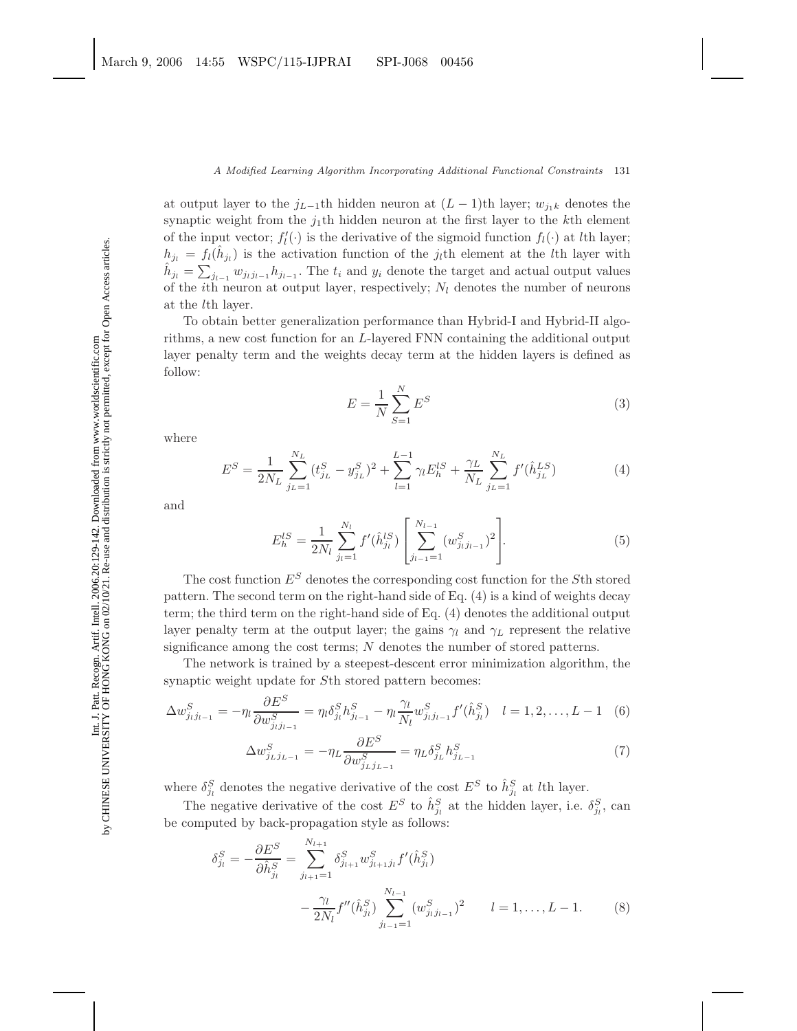at output layer to the  $j_{L-1}$ th hidden neuron at  $(L-1)$ th layer;  $w_{j1k}$  denotes the synaptic weight from the  $j_1$ th hidden neuron at the first layer to the kth element of the input vector;  $f'_{l}(\cdot)$  is the derivative of the sigmoid function  $f_{l}(\cdot)$  at *l*th layer;<br> $h_{l} = f_{l}(\hat{h}_{l})$  is the activation function of the *i*<sup>th</sup> element at the *l*th layer with  $h_{j_l} = f_l(\hat{h}_{j_l})$  is the activation function of the *j*<sub>l</sub><sup>th</sup> element at the *l*<sup>th</sup> layer with  $\hat{h}_{j_l} = \sum_{j_{l-1}} w_{j_l j_{l-1}} h_{j_{l-1}}$ . The  $t_i$  and  $y_i$  denote the target and actual output values of the *i*th neuron at output layer, respectively;  $N_l$  denotes the number of neurons at the *l*<sup>th</sup> layer.

To obtain better generalization performance than Hybrid-I and Hybrid-II algorithms, a new cost function for an L-layered FNN containing the additional output layer penalty term and the weights decay term at the hidden layers is defined as follow:

$$
E = \frac{1}{N} \sum_{S=1}^{N} E^S
$$
\n
$$
\tag{3}
$$

where

$$
E^{S} = \frac{1}{2N_{L}} \sum_{j_{L}=1}^{N_{L}} (t_{j_{L}}^{S} - y_{j_{L}}^{S})^{2} + \sum_{l=1}^{L-1} \gamma_{l} E_{h}^{lS} + \frac{\gamma_{L}}{N_{L}} \sum_{j_{L}=1}^{N_{L}} f'(\hat{h}_{j_{L}}^{LS})
$$
(4)

and

$$
E_h^{lS} = \frac{1}{2N_l} \sum_{j_l=1}^{N_l} f'(\hat{h}_{j_l}^{lS}) \left[ \sum_{j_{l-1}=1}^{N_{l-1}} (w_{j_l j_{l-1}}^S)^2 \right].
$$
 (5)

The cost function E*<sup>S</sup>* denotes the corresponding cost function for the <sup>S</sup>th stored pattern. The second term on the right-hand side of Eq. (4) is a kind of weights decay term; the third term on the right-hand side of Eq. (4) denotes the additional output layer penalty term at the output layer; the gains  $\gamma_l$  and  $\gamma_L$  represent the relative significance among the cost terms; N denotes the number of stored patterns.

The network is trained by a steepest-descent error minimization algorithm, the synaptic weight update for Sth stored pattern becomes:

$$
\Delta w_{j_l j_{l-1}}^S = -\eta_l \frac{\partial E^S}{\partial w_{j_l j_{l-1}}^S} = \eta_l \delta_{j_l}^S h_{j_{l-1}}^S - \eta_l \frac{\gamma_l}{N_l} w_{j_l j_{l-1}}^S f'(\hat{h}_{j_l}^S) \quad l = 1, 2, ..., L - 1 \quad (6)
$$

$$
\Delta w_{j_L j_{L-1}}^S = -\eta_L \frac{\partial E^S}{\partial w_{j_L j_{L-1}}^S} = \eta_L \delta_{j_L}^S h_{j_{L-1}}^S \tag{7}
$$

where  $\delta_{j_l}^S$  denotes the negative derivative of the cost  $E^S$  to  $\hat{h}_{j_l}^S$  at *l*th layer.

The negative derivative of the cost  $E^S$  to  $\hat{h}_{j_l}^S$  at the hidden layer, i.e.  $\delta_{j_l}^S$ , can be computed by back-propagation style as follows:

$$
\delta_{j_l}^S = -\frac{\partial E^S}{\partial \hat{h}_{j_l}^S} = \sum_{j_{l+1}=1}^{N_{l+1}} \delta_{j_{l+1}}^S w_{j_{l+1}j_l}^S f'(\hat{h}_{j_l}^S) \n- \frac{\gamma_l}{2N_l} f''(\hat{h}_{j_l}^S) \sum_{j_{l-1}=1}^{N_{l-1}} (w_{j_l j_{l-1}}^S)^2 \qquad l = 1, ..., L-1.
$$
\n(8)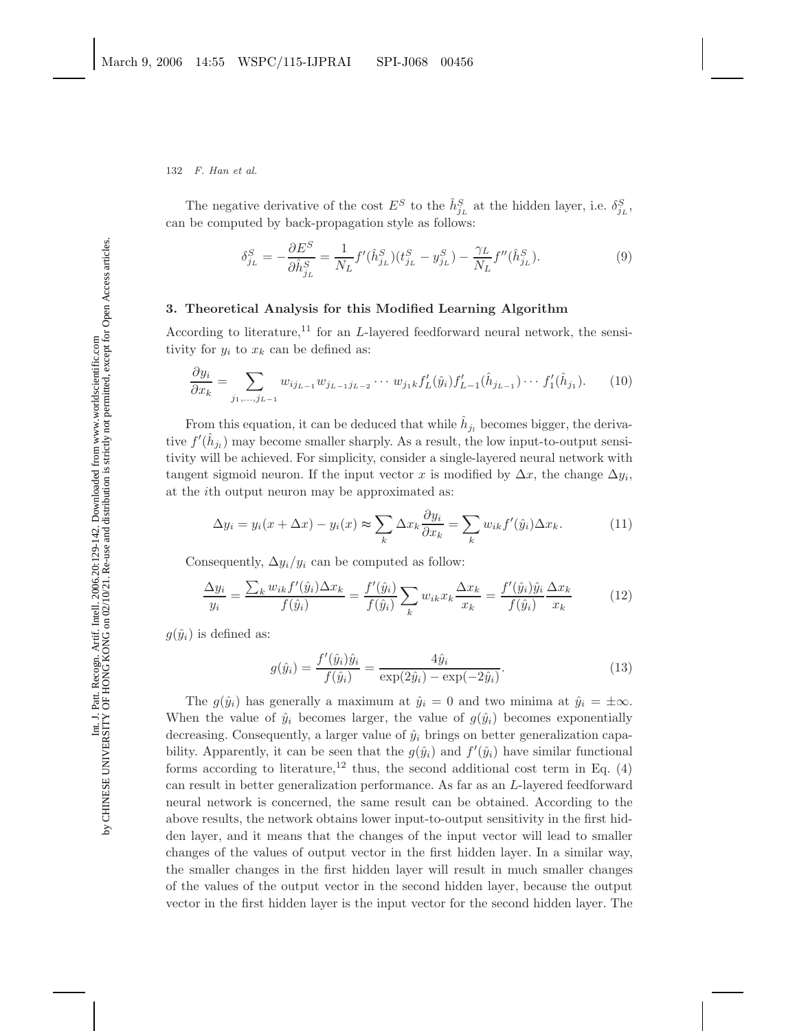132 *F. Han et al.*

The negative derivative of the cost  $E^S$  to the  $\hat{h}_{j_L}^S$  at the hidden layer, i.e.  $\delta_{j_L}^S$ , be computed by back proposation style as follows: can be computed by back-propagation style as follows:

$$
\delta_{j_L}^S = -\frac{\partial E^S}{\partial \hat{h}_{j_L}^S} = \frac{1}{N_L} f'(\hat{h}_{j_L}^S)(t_{j_L}^S - y_{j_L}^S) - \frac{\gamma_L}{N_L} f''(\hat{h}_{j_L}^S).
$$
\n(9)

## **3. Theoretical Analysis for this Modified Learning Algorithm**

According to literature,<sup>11</sup> for an L-layered feedforward neural network, the sensitivity for  $y_i$  to  $x_k$  can be defined as:

$$
\frac{\partial y_i}{\partial x_k} = \sum_{j_1, \dots, j_{L-1}} w_{ij_{L-1}} w_{j_{L-1}j_{L-2}} \cdots w_{j_1 k} f'_L(\hat{y}_i) f'_{L-1}(\hat{h}_{j_{L-1}}) \cdots f'_1(\hat{h}_{j_1}). \tag{10}
$$

From this equation, it can be deduced that while  $\hat{h}_{j_l}$  becomes bigger, the derivative  $f'(\hat{h}_{j_l})$  may become smaller sharply. As a result, the low input-to-output sensi-<br>tivity will be achieved. For simplicity, consider a single layered namel naturals with tivity will be achieved. For simplicity, consider a single-layered neural network with tangent sigmoid neuron. If the input vector x is modified by  $\Delta x$ , the change  $\Delta y_i$ , at the ith output neuron may be approximated as:

$$
\Delta y_i = y_i(x + \Delta x) - y_i(x) \approx \sum_k \Delta x_k \frac{\partial y_i}{\partial x_k} = \sum_k w_{ik} f'(\hat{y}_i) \Delta x_k.
$$
 (11)

Consequently,  $\Delta y_i/y_i$  can be computed as follow:

$$
\frac{\Delta y_i}{y_i} = \frac{\sum_k w_{ik} f'(\hat{y}_i) \Delta x_k}{f(\hat{y}_i)} = \frac{f'(\hat{y}_i)}{f(\hat{y}_i)} \sum_k w_{ik} x_k \frac{\Delta x_k}{x_k} = \frac{f'(\hat{y}_i) \hat{y}_i}{f(\hat{y}_i)} \frac{\Delta x_k}{x_k}
$$
(12)

 $q(\hat{y}_i)$  is defined as:

$$
g(\hat{y}_i) = \frac{f'(\hat{y}_i)\hat{y}_i}{f(\hat{y}_i)} = \frac{4\hat{y}_i}{\exp(2\hat{y}_i) - \exp(-2\hat{y}_i)}.
$$
(13)

The  $g(\hat{y}_i)$  has generally a maximum at  $\hat{y}_i = 0$  and two minima at  $\hat{y}_i = \pm \infty$ . When the value of  $\hat{y}_i$  becomes larger, the value of  $g(\hat{y}_i)$  becomes exponentially decreasing. Consequently, a larger value of  $\hat{y}_i$  brings on better generalization capability. Apparently, it can be seen that the  $g(\hat{y}_i)$  and  $f'(\hat{y}_i)$  have similar functional forms according to literature  $^{12}$  thus, the second additional sect term in Eq. (4) forms according to literature,<sup>12</sup> thus, the second additional cost term in Eq. (4) can result in better generalization performance. As far as an L-layered feedforward neural network is concerned, the same result can be obtained. According to the above results, the network obtains lower input-to-output sensitivity in the first hidden layer, and it means that the changes of the input vector will lead to smaller changes of the values of output vector in the first hidden layer. In a similar way, the smaller changes in the first hidden layer will result in much smaller changes of the values of the output vector in the second hidden layer, because the output vector in the first hidden layer is the input vector for the second hidden layer. The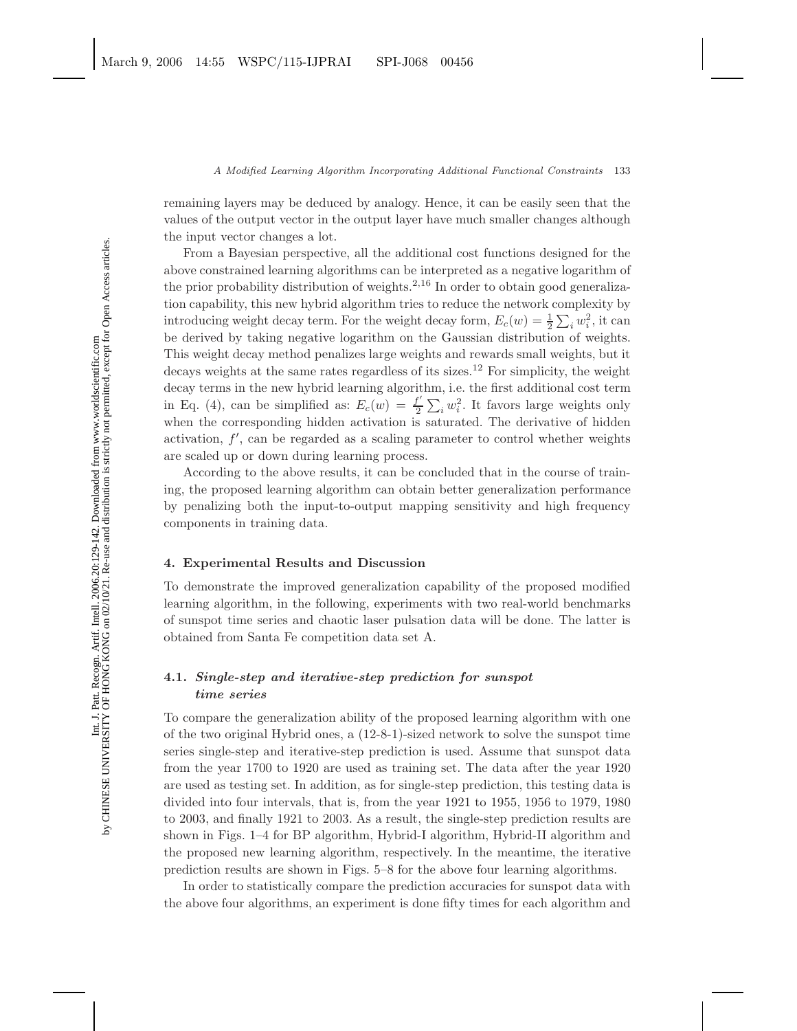remaining layers may be deduced by analogy. Hence, it can be easily seen that the values of the output vector in the output layer have much smaller changes although the input vector changes a lot.

From a Bayesian perspective, all the additional cost functions designed for the above constrained learning algorithms can be interpreted as a negative logarithm of the prior probability distribution of weights.2*,*<sup>16</sup> In order to obtain good generalization capability, this new hybrid algorithm tries to reduce the network complexity by introducing weight decay term. For the weight decay form,  $E_c(w) = \frac{1}{2} \sum_i w_i^2$ , it can<br>be derived by taking positive logarithm on the Caussian distribution of weights be derived by taking negative logarithm on the Gaussian distribution of weights. This weight decay method penalizes large weights and rewards small weights, but it decays weights at the same rates regardless of its sizes.<sup>12</sup> For simplicity, the weight decay terms in the new hybrid learning algorithm, i.e. the first additional cost term in Eq. (4), can be simplified as:  $E_c(w) = \frac{f'}{2} \sum_i w_i^2$ . It favors large weights only when the corresponding hidden activation is saturated. The derivative of hidden activation, f , can be regarded as a scaling parameter to control whether weights are scaled up or down during learning process.

According to the above results, it can be concluded that in the course of training, the proposed learning algorithm can obtain better generalization performance by penalizing both the input-to-output mapping sensitivity and high frequency components in training data.

## **4. Experimental Results and Discussion**

To demonstrate the improved generalization capability of the proposed modified learning algorithm, in the following, experiments with two real-world benchmarks of sunspot time series and chaotic laser pulsation data will be done. The latter is obtained from Santa Fe competition data set A.

## **4.1.** *Single-step and iterative-step prediction for sunspot time series*

To compare the generalization ability of the proposed learning algorithm with one of the two original Hybrid ones, a (12-8-1)-sized network to solve the sunspot time series single-step and iterative-step prediction is used. Assume that sunspot data from the year 1700 to 1920 are used as training set. The data after the year 1920 are used as testing set. In addition, as for single-step prediction, this testing data is divided into four intervals, that is, from the year 1921 to 1955, 1956 to 1979, 1980 to 2003, and finally 1921 to 2003. As a result, the single-step prediction results are shown in Figs. 1–4 for BP algorithm, Hybrid-I algorithm, Hybrid-II algorithm and the proposed new learning algorithm, respectively. In the meantime, the iterative prediction results are shown in Figs. 5–8 for the above four learning algorithms.

In order to statistically compare the prediction accuracies for sunspot data with the above four algorithms, an experiment is done fifty times for each algorithm and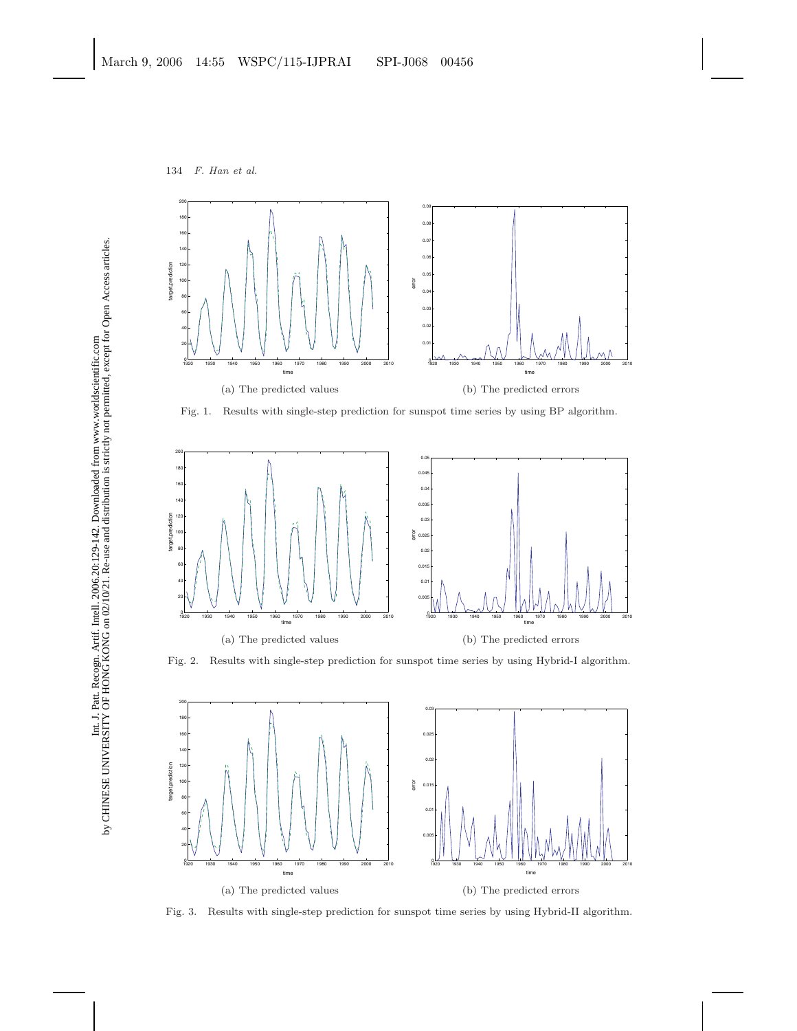

Fig. 1. Results with single-step prediction for sunspot time series by using BP algorithm.



Fig. 2. Results with single-step prediction for sunspot time series by using Hybrid-I algorithm.



Fig. 3. Results with single-step prediction for sunspot time series by using Hybrid-II algorithm.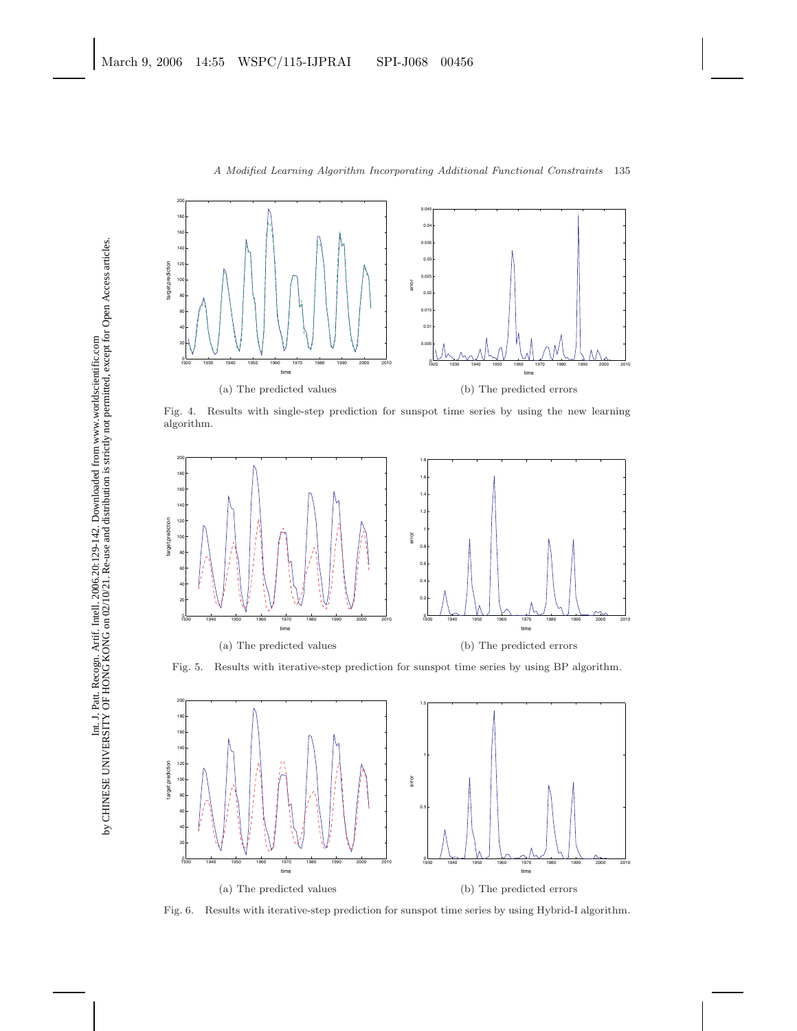

Fig. 4. Results with single-step prediction for sunspot time series by using the new learning algorithm.



(a) The predicted values (b) The predicted errors





Fig. 6. Results with iterative-step prediction for sunspot time series by using Hybrid-I algorithm.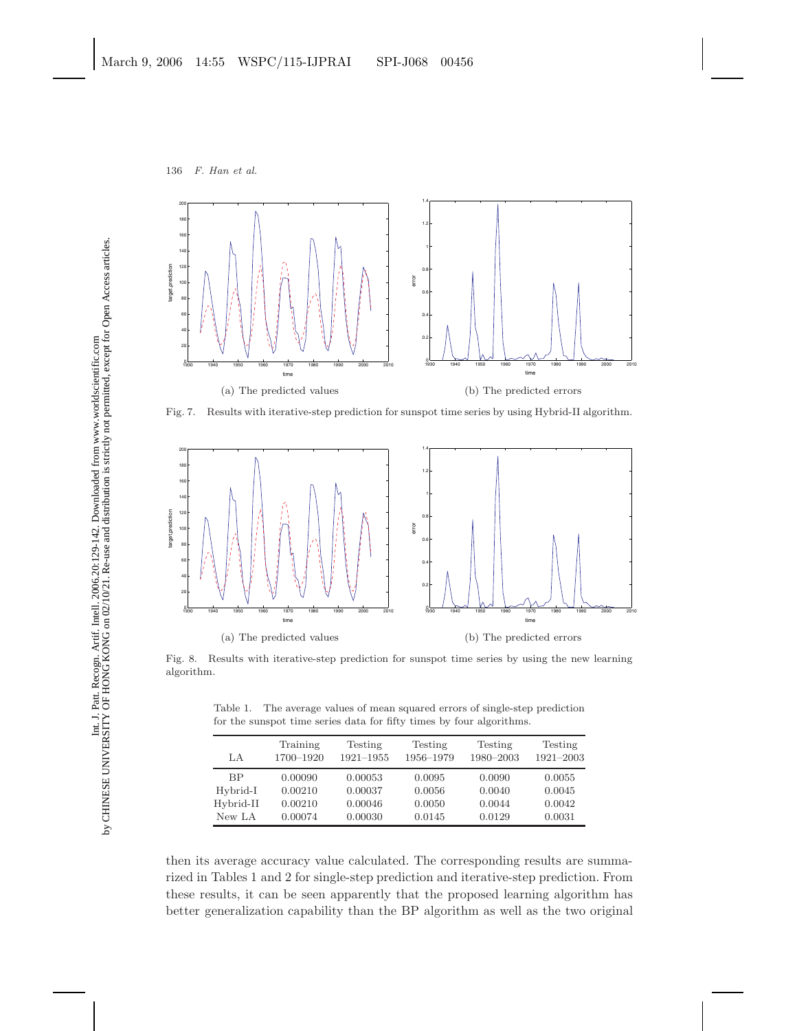

Fig. 7. Results with iterative-step prediction for sunspot time series by using Hybrid-II algorithm.



Fig. 8. Results with iterative-step prediction for sunspot time series by using the new learning algorithm.

Table 1. The average values of mean squared errors of single-step prediction for the sunspot time series data for fifty times by four algorithms.

| LA        | Training  | Testing            | Testing   | Testing   | Testing       |
|-----------|-----------|--------------------|-----------|-----------|---------------|
|           | 1700-1920 | 1921-1955          | 1956-1979 | 1980-2003 | $1921 - 2003$ |
| BP        | 0.00090   | 0.00053<br>0.00037 | 0.0095    | 0.0090    | 0.0055        |
| Hybrid-I  | 0.00210   | 0.00046            | 0.0056    | 0.0040    | 0.0045        |
| Hybrid-II | 0.00210   |                    | 0.0050    | 0.0044    | 0.0042        |
| New LA    | 0.00074   | 0.00030            | 0.0145    | 0.0129    | 0.0031        |

then its average accuracy value calculated. The corresponding results are summarized in Tables 1 and 2 for single-step prediction and iterative-step prediction. From these results, it can be seen apparently that the proposed learning algorithm has better generalization capability than the BP algorithm as well as the two original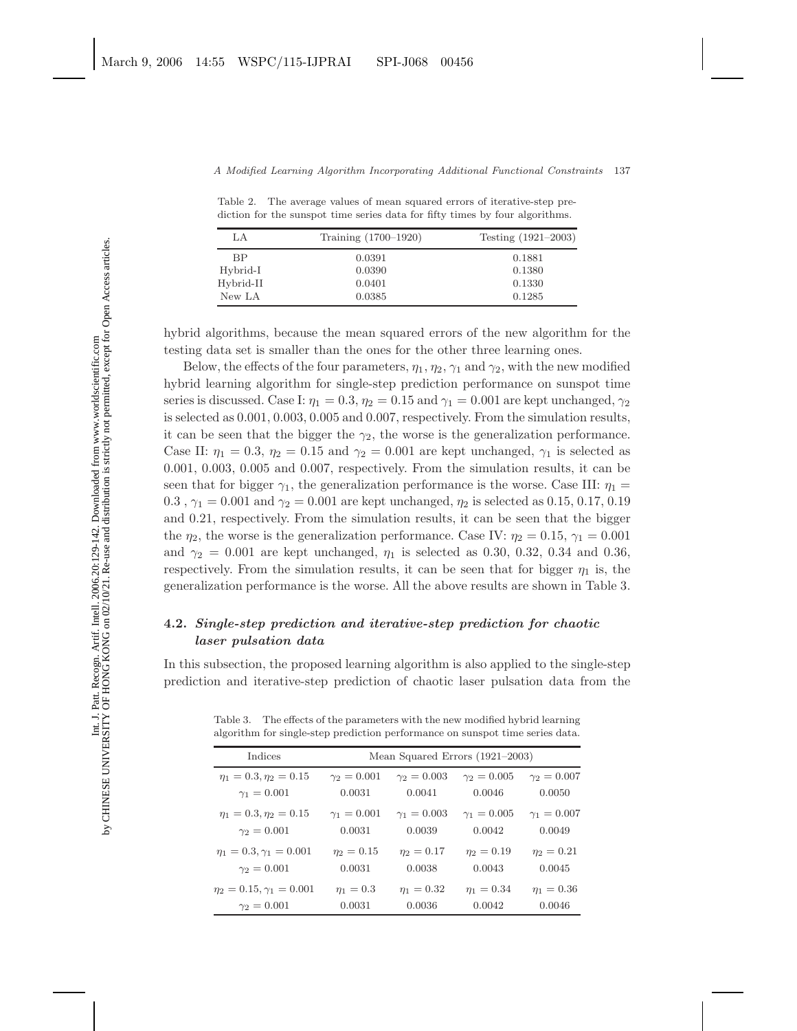| LA        | Training (1700–1920) | Testing $(1921-2003)$ |
|-----------|----------------------|-----------------------|
| <b>BP</b> | 0.0391               | 0.1881                |
| Hybrid-I  | 0.0390               | 0.1380                |
| Hybrid-II | 0.0401               | 0.1330                |
| New LA    | 0.0385               | 0.1285                |

Table 2. The average values of mean squared errors of iterative-step prediction for the sunspot time series data for fifty times by four algorithms.

hybrid algorithms, because the mean squared errors of the new algorithm for the testing data set is smaller than the ones for the other three learning ones.

Below, the effects of the four parameters,  $\eta_1, \eta_2, \gamma_1$  and  $\gamma_2$ , with the new modified hybrid learning algorithm for single-step prediction performance on sunspot time series is discussed. Case I:  $\eta_1 = 0.3$ ,  $\eta_2 = 0.15$  and  $\gamma_1 = 0.001$  are kept unchanged,  $\gamma_2$ is selected as 0.001, 0.003, 0.005 and 0.007, respectively. From the simulation results, it can be seen that the bigger the  $\gamma_2$ , the worse is the generalization performance. Case II:  $\eta_1 = 0.3$ ,  $\eta_2 = 0.15$  and  $\gamma_2 = 0.001$  are kept unchanged,  $\gamma_1$  is selected as <sup>0</sup>.001, 0.003, 0.005 and 0.007, respectively. From the simulation results, it can be seen that for bigger  $\gamma_1$ , the generalization performance is the worse. Case III:  $\eta_1$  =  $0.3$  ,  $\gamma_1=0.001$  and  $\gamma_2=0.001$  are kept unchanged,  $\eta_2$  is selected as  $0.15,$   $0.17,$   $0.19$ and 0.21, respectively. From the simulation results, it can be seen that the bigger the  $\eta_2$ , the worse is the generalization performance. Case IV:  $\eta_2 = 0.15$ ,  $\gamma_1 = 0.001$ and  $\gamma_2 = 0.001$  are kept unchanged,  $\eta_1$  is selected as 0.30, 0.32, 0.34 and 0.36, respectively. From the simulation results, it can be seen that for bigger  $\eta_1$  is, the generalization performance is the worse. All the above results are shown in Table 3.

## **4.2.** *Single-step prediction and iterative-step prediction for chaotic laser pulsation data*

In this subsection, the proposed learning algorithm is also applied to the single-step prediction and iterative-step prediction of chaotic laser pulsation data from the

| wigoriumi ior pingio peop proutonom portormanto on pampoe emito portop aueus |                                 |                    |                    |                    |
|------------------------------------------------------------------------------|---------------------------------|--------------------|--------------------|--------------------|
| Indices                                                                      | Mean Squared Errors (1921–2003) |                    |                    |                    |
| $\eta_1 = 0.3, \eta_2 = 0.15$                                                | $\gamma_2 = 0.001$              | $\gamma_2 = 0.003$ | $\gamma_2 = 0.005$ | $\gamma_2 = 0.007$ |
| $\gamma_1 = 0.001$                                                           | 0.0031                          | 0.0041             | 0.0046             | 0.0050             |
| $\eta_1 = 0.3, \eta_2 = 0.15$                                                | $\gamma_1 = 0.001$              | $\gamma_1 = 0.003$ | $\gamma_1 = 0.005$ | $\gamma_1 = 0.007$ |
| $\gamma_2 = 0.001$                                                           | 0.0031                          | 0.0039             | 0.0042             | 0.0049             |
| $\eta_1 = 0.3, \gamma_1 = 0.001$                                             | $\eta_2 = 0.15$                 | $\eta_2 = 0.17$    | $\eta_2 = 0.19$    | $\eta_2 = 0.21$    |
| $\gamma_2 = 0.001$                                                           | 0.0031                          | 0.0038             | 0.0043             | 0.0045             |
| $\eta_2 = 0.15, \gamma_1 = 0.001$                                            | $\eta_1 = 0.3$                  | $\eta_1 = 0.32$    | $\eta_1 = 0.34$    | $\eta_1 = 0.36$    |
| $\gamma_2 = 0.001$                                                           | 0.0031                          | 0.0036             | 0.0042             | 0.0046             |

Table 3. The effects of the parameters with the new modified hybrid learning algorithm for single-step prediction performance on sunspot time series data.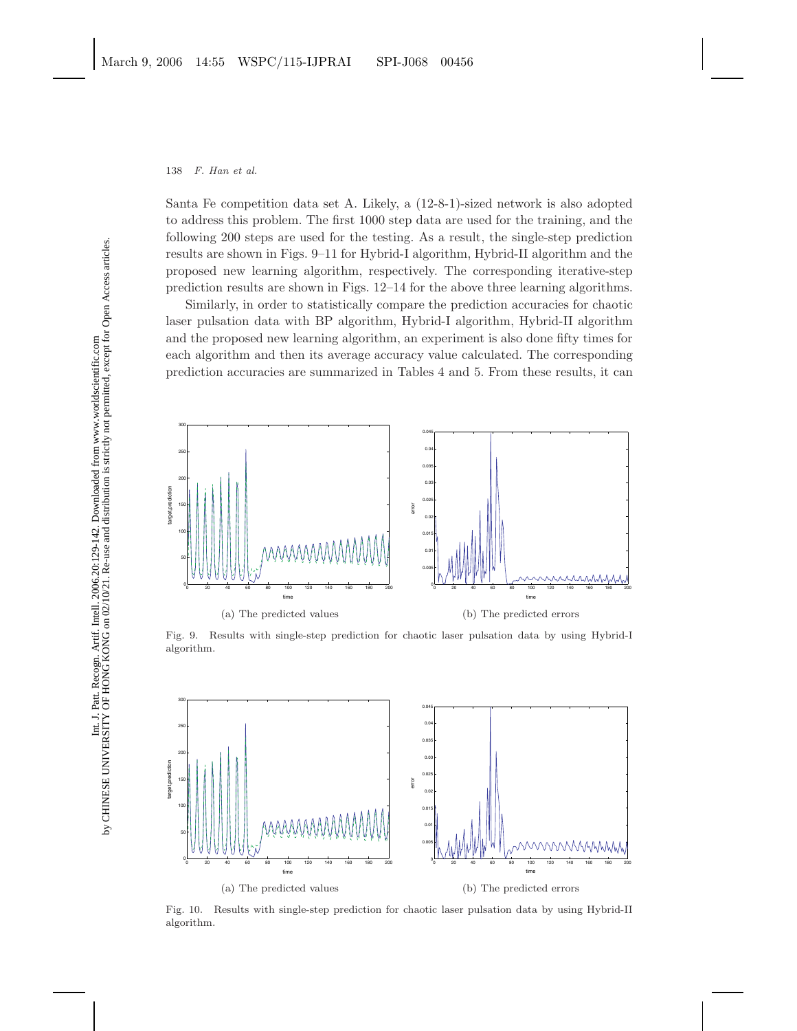Santa Fe competition data set A. Likely, a (12-8-1)-sized network is also adopted to address this problem. The first 1000 step data are used for the training, and the following 200 steps are used for the testing. As a result, the single-step prediction results are shown in Figs. 9–11 for Hybrid-I algorithm, Hybrid-II algorithm and the proposed new learning algorithm, respectively. The corresponding iterative-step prediction results are shown in Figs. 12–14 for the above three learning algorithms.

Similarly, in order to statistically compare the prediction accuracies for chaotic laser pulsation data with BP algorithm, Hybrid-I algorithm, Hybrid-II algorithm and the proposed new learning algorithm, an experiment is also done fifty times for each algorithm and then its average accuracy value calculated. The corresponding prediction accuracies are summarized in Tables 4 and 5. From these results, it can



Fig. 9. Results with single-step prediction for chaotic laser pulsation data by using Hybrid-I algorithm.



(a) The predicted values (b) The predicted errors

Fig. 10. Results with single-step prediction for chaotic laser pulsation data by using Hybrid-II algorithm.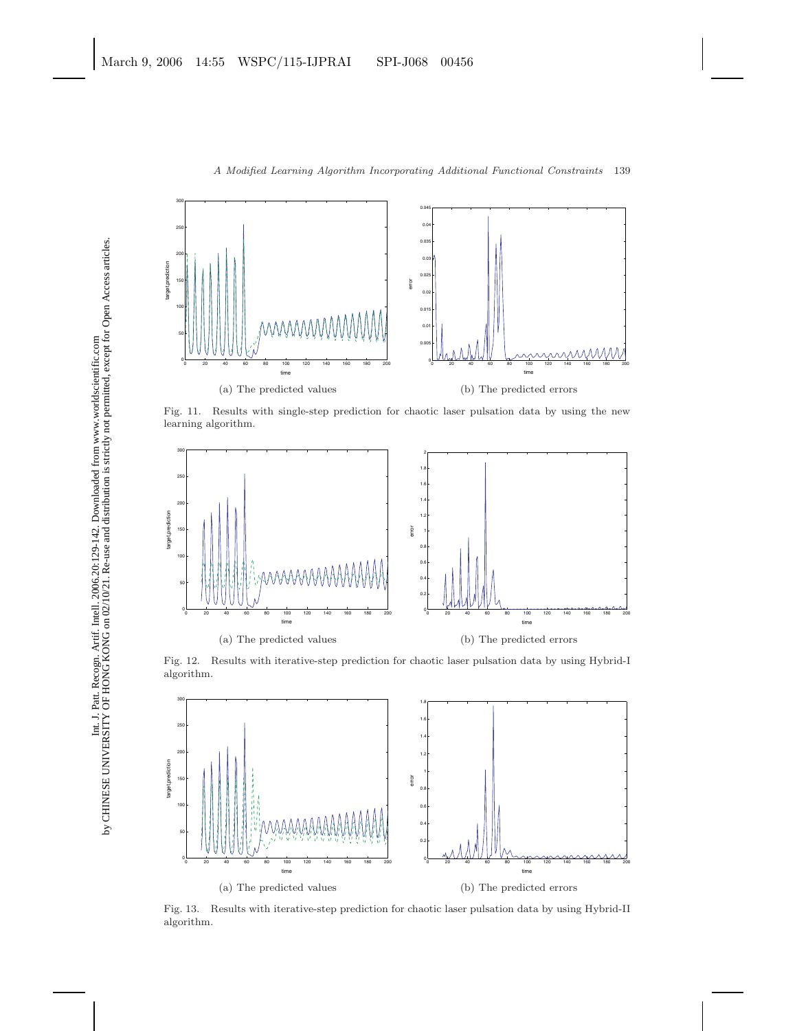

Fig. 11. Results with single-step prediction for chaotic laser pulsation data by using the new learning algorithm.



Fig. 12. Results with iterative-step prediction for chaotic laser pulsation data by using Hybrid-I algorithm.



Fig. 13. Results with iterative-step prediction for chaotic laser pulsation data by using Hybrid-II algorithm.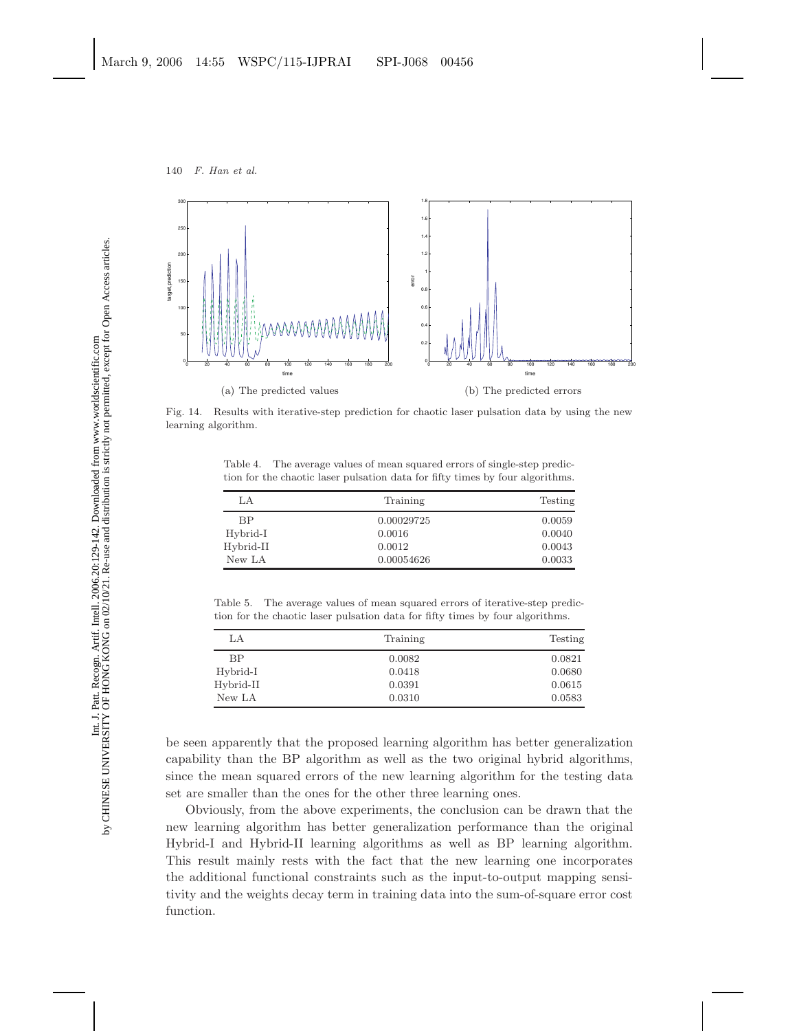

Fig. 14. Results with iterative-step prediction for chaotic laser pulsation data by using the new learning algorithm.

Table 4. The average values of mean squared errors of single-step prediction for the chaotic laser pulsation data for fifty times by four algorithms.

| LA        | Training   | Testing |  |
|-----------|------------|---------|--|
| <b>BP</b> | 0.00029725 | 0.0059  |  |
| Hybrid-I  | 0.0016     | 0.0040  |  |
| Hybrid-II | 0.0012     | 0.0043  |  |
| New LA    | 0.00054626 | 0.0033  |  |

Table 5. The average values of mean squared errors of iterative-step prediction for the chaotic laser pulsation data for fifty times by four algorithms.

| LA        | Training | Testing |
|-----------|----------|---------|
| <b>BP</b> | 0.0082   | 0.0821  |
| Hybrid-I  | 0.0418   | 0.0680  |
| Hybrid-II | 0.0391   | 0.0615  |
| New LA    | 0.0310   | 0.0583  |

be seen apparently that the proposed learning algorithm has better generalization capability than the BP algorithm as well as the two original hybrid algorithms, since the mean squared errors of the new learning algorithm for the testing data set are smaller than the ones for the other three learning ones.

Obviously, from the above experiments, the conclusion can be drawn that the new learning algorithm has better generalization performance than the original Hybrid-I and Hybrid-II learning algorithms as well as BP learning algorithm. This result mainly rests with the fact that the new learning one incorporates the additional functional constraints such as the input-to-output mapping sensitivity and the weights decay term in training data into the sum-of-square error cost function.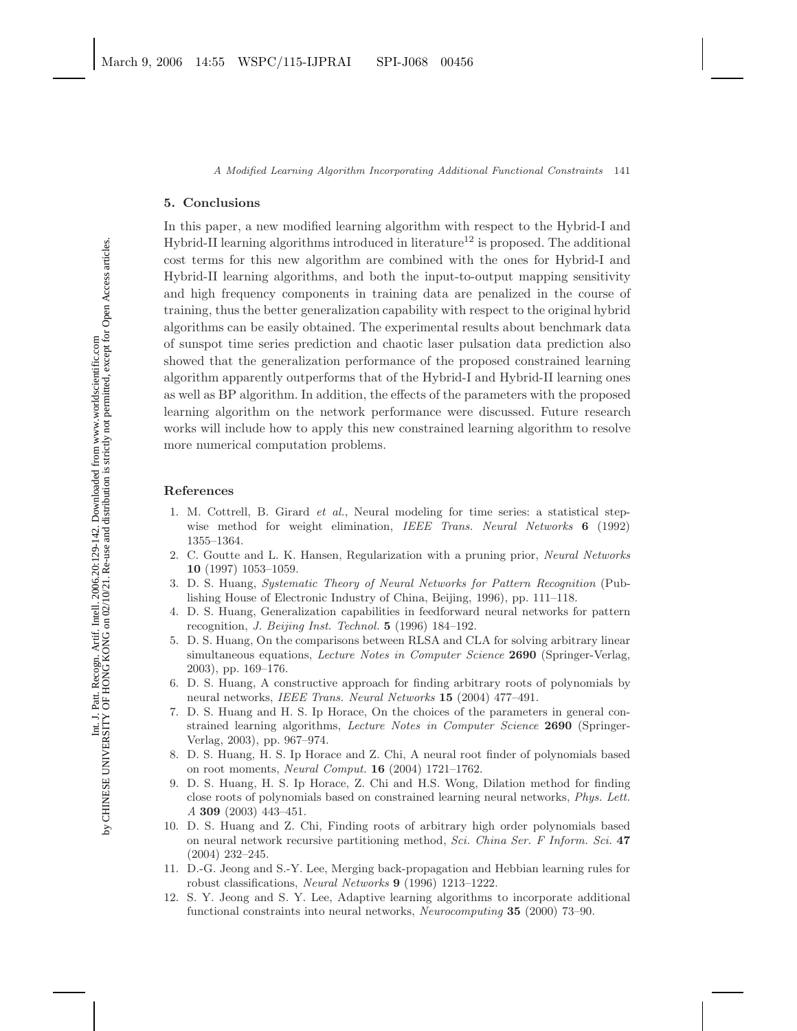## **5. Conclusions**

In this paper, a new modified learning algorithm with respect to the Hybrid-I and Hybrid-II learning algorithms introduced in literature<sup>12</sup> is proposed. The additional cost terms for this new algorithm are combined with the ones for Hybrid-I and Hybrid-II learning algorithms, and both the input-to-output mapping sensitivity and high frequency components in training data are penalized in the course of training, thus the better generalization capability with respect to the original hybrid algorithms can be easily obtained. The experimental results about benchmark data of sunspot time series prediction and chaotic laser pulsation data prediction also showed that the generalization performance of the proposed constrained learning algorithm apparently outperforms that of the Hybrid-I and Hybrid-II learning ones as well as BP algorithm. In addition, the effects of the parameters with the proposed learning algorithm on the network performance were discussed. Future research works will include how to apply this new constrained learning algorithm to resolve more numerical computation problems.

## **References**

- 1. M. Cottrell, B. Girard *et al.*, Neural modeling for time series: a statistical stepwise method for weight elimination, *IEEE Trans. Neural Networks* **<sup>6</sup>** (1992) 1355–1364.
- 2. C. Goutte and L. K. Hansen, Regularization with a pruning prior, *Neural Networks* **10** (1997) 1053–1059.
- 3. D. S. Huang, *Systematic Theory of Neural Networks for Pattern Recognition* (Publishing House of Electronic Industry of China, Beijing, 1996), pp. 111–118.
- 4. D. S. Huang, Generalization capabilities in feedforward neural networks for pattern recognition, *J. Beijing Inst. Technol.* **<sup>5</sup>** (1996) 184–192.
- 5. D. S. Huang, On the comparisons between RLSA and CLA for solving arbitrary linear simultaneous equations, *Lecture Notes in Computer Science* **<sup>2690</sup>** (Springer-Verlag, 2003), pp. 169–176.
- 6. D. S. Huang, A constructive approach for finding arbitrary roots of polynomials by neural networks, *IEEE Trans. Neural Networks* **<sup>15</sup>** (2004) 477–491.
- 7. D. S. Huang and H. S. Ip Horace, On the choices of the parameters in general constrained learning algorithms, *Lecture Notes in Computer Science* **<sup>2690</sup>** (Springer-Verlag, 2003), pp. 967–974.
- 8. D. S. Huang, H. S. Ip Horace and Z. Chi, A neural root finder of polynomials based on root moments, *Neural Comput.* **<sup>16</sup>** (2004) 1721–1762.
- 9. D. S. Huang, H. S. Ip Horace, Z. Chi and H.S. Wong, Dilation method for finding close roots of polynomials based on constrained learning neural networks, *Phys. Lett. A* **<sup>309</sup>** (2003) 443–451.
- 10. D. S. Huang and Z. Chi, Finding roots of arbitrary high order polynomials based on neural network recursive partitioning method, *Sci. China Ser. F Inform. Sci.* **<sup>47</sup>** (2004) 232–245.
- 11. D.-G. Jeong and S.-Y. Lee, Merging back-propagation and Hebbian learning rules for robust classifications, *Neural Networks* **<sup>9</sup>** (1996) 1213–1222.
- 12. S. Y. Jeong and S. Y. Lee, Adaptive learning algorithms to incorporate additional functional constraints into neural networks, *Neurocomputing* **<sup>35</sup>** (2000) 73–90.